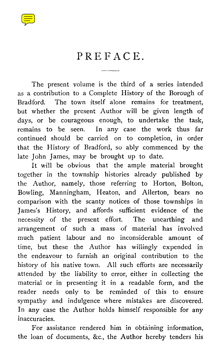## PREFACE.

The present volume is the third of a series intended as a contribution to a Complete History of the Borough of Bradford. The town itself alone remains for treatment, but whether the present Author will be given length of days, or be courageous enough, to undertake the task, remains to be seen. In any case the work thus far continued should be carried on to completion, in order that the History of Bradford, so ably commenced by the late John James, may be brought up to date.

It will be obvious that the ample material brought together in the township histories already published by the Author, namely, those referring to Horton, Bolton, Bowling, Manningham, Heaton, and Allerton, bears no comparison with the scanty notices of those townships in James's History, and affords sufficient evidence of the necessity of the present effort. The unearthing and arrangement of such a mass of material has involved much patient labour and no inconsiderable amount of time, but these the Author has willingly expended in the endeavour to furnish an original contribution to the history of his native town. All such efforts are necessarily attended by the liability to error, either in collecting the material or in presenting it in a readable form, and the reader needs only to be reminded of this to ensure sympathy and indulgence where mistakes are discovered. In any case the Author holds himself responsible for any inaccuracies.

For assistance rendered him in obtaining information, the loan of documents, &c., the Author hereby tenders his